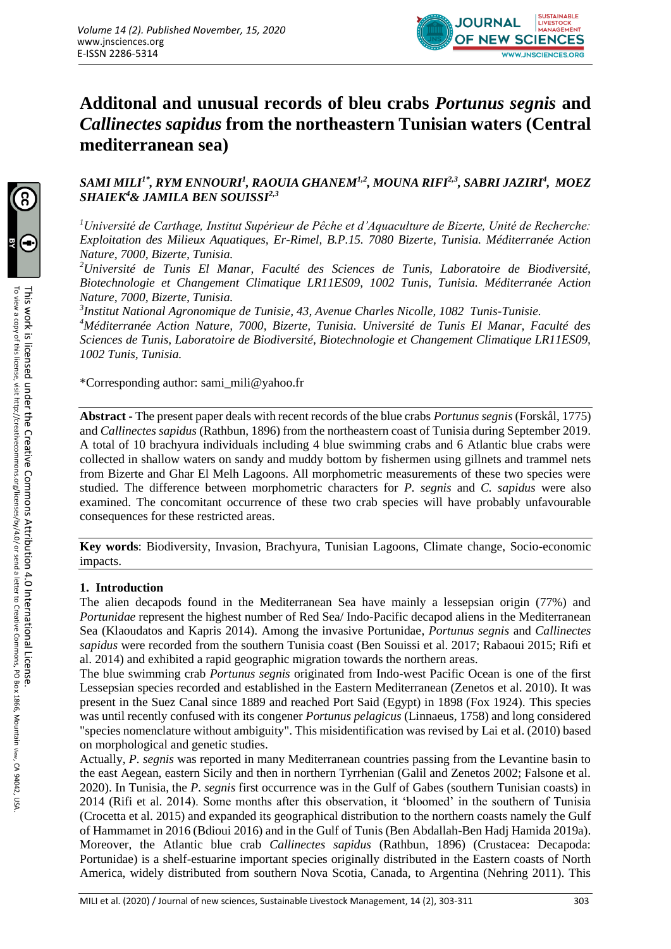

# **Additonal and unusual records of bleu crabs** *Portunus segnis* **and**  *Callinectes sapidus* **from the northeastern Tunisian waters (Central mediterranean sea)**

# *SAMI MILI1\*, RYM ENNOURI<sup>1</sup> , RAOUIA GHANEM1,2, MOUNA RIFI2,3, SABRI JAZIRI<sup>4</sup> , MOEZ SHAIEK<sup>4</sup>& JAMILA BEN SOUISSI2,3*

*<sup>1</sup>Université de Carthage, Institut Supérieur de Pêche et d'Aquaculture de Bizerte, Unité de Recherche: Exploitation des Milieux Aquatiques, Er-Rimel, B.P.15. 7080 Bizerte, Tunisia. Méditerranée Action Nature, 7000, Bizerte, Tunisia.*

*<sup>2</sup>Université de Tunis El Manar, Faculté des Sciences de Tunis, Laboratoire de Biodiversité, Biotechnologie et Changement Climatique LR11ES09, 1002 Tunis, Tunisia. Méditerranée Action Nature, 7000, Bizerte, Tunisia.*

*3 Institut National Agronomique de Tunisie, 43, Avenue Charles Nicolle, 1082 Tunis-Tunisie.*

*<sup>4</sup>Méditerranée Action Nature, 7000, Bizerte, Tunisia. Université de Tunis El Manar, Faculté des Sciences de Tunis, Laboratoire de Biodiversité, Biotechnologie et Changement Climatique LR11ES09, 1002 Tunis, Tunisia.*

\*Corresponding author: sami\_mili@yahoo.fr

**Abstract -** The present paper deals with recent records of the blue crabs *Portunus segnis* (Forskål, 1775) and *Callinectes sapidus* (Rathbun, 1896) from the northeastern coast of Tunisia during September 2019. A total of 10 brachyura individuals including 4 blue swimming crabs and 6 Atlantic blue crabs were collected in shallow waters on sandy and muddy bottom by fishermen using gillnets and trammel nets from Bizerte and Ghar El Melh Lagoons. All morphometric measurements of these two species were studied. The difference between morphometric characters for *P. segnis* and *C. sapidus* were also examined. The concomitant occurrence of these two crab species will have probably unfavourable consequences for these restricted areas.

**Key words**: Biodiversity, Invasion, Brachyura, Tunisian Lagoons, Climate change, Socio-economic impacts.

### **1. Introduction**

The alien decapods found in the Mediterranean Sea have mainly a lessepsian origin (77%) and *Portunidae* represent the highest number of Red Sea/ Indo-Pacific decapod aliens in the Mediterranean Sea (Klaoudatos and Kapris 2014). Among the invasive Portunidae, *Portunus segnis* and *Callinectes sapidus* were recorded from the southern Tunisia coast (Ben Souissi et al. 2017; Rabaoui 2015; Rifi et al. 2014) and exhibited a rapid geographic migration towards the northern areas.

The blue swimming crab *Portunus segnis* originated from Indo-west Pacific Ocean is one of the first Lessepsian species recorded and established in the Eastern Mediterranean (Zenetos et al. 2010). It was present in the Suez Canal since 1889 and reached Port Said (Egypt) in 1898 (Fox 1924). This species was until recently confused with its congener *Portunus pelagicus* (Linnaeus, 1758) and long considered "species nomenclature without ambiguity". This misidentification was revised by Lai et al. (2010) based on morphological and genetic studies.

Actually, *P. segnis* was reported in many Mediterranean countries passing from the Levantine basin to the east Aegean, eastern Sicily and then in northern Tyrrhenian (Galil and Zenetos 2002; Falsone et al. 2020). In Tunisia, the *P. segnis* first occurrence was in the Gulf of Gabes (southern Tunisian coasts) in 2014 (Rifi et al. 2014). Some months after this observation, it 'bloomed' in the southern of Tunisia (Crocetta et al. 2015) and expanded its geographical distribution to the northern coasts namely the Gulf of Hammamet in 2016 (Bdioui 2016) and in the Gulf of Tunis (Ben Abdallah-Ben Hadj Hamida 2019a). Moreover, the Atlantic blue crab *Callinectes sapidus* (Rathbun, 1896) (Crustacea: Decapoda: Portunidae) is a shelf-estuarine important species originally distributed in the Eastern coasts of North America, widely distributed from southern Nova Scotia, Canada, to Argentina (Nehring 2011). This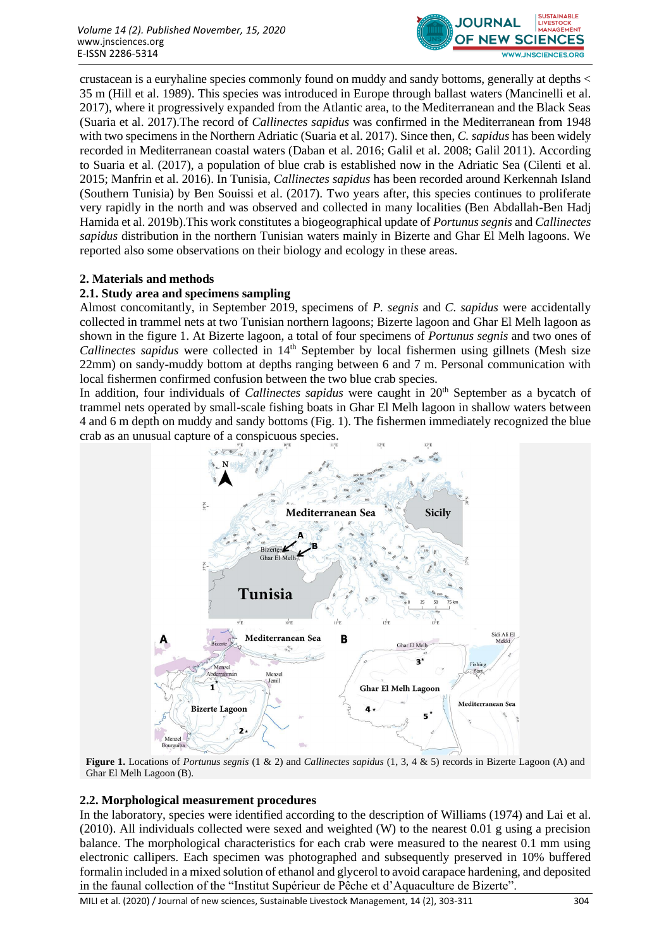

crustacean is a euryhaline species commonly found on muddy and sandy bottoms, generally at depths < 35 m (Hill et al. 1989). This species was introduced in Europe through ballast waters (Mancinelli et al. 2017), where it progressively expanded from the Atlantic area, to the Mediterranean and the Black Seas (Suaria et al. 2017).The record of *Callinectes sapidus* was confirmed in the Mediterranean from 1948 with two specimens in the Northern Adriatic (Suaria et al. 2017). Since then, *C. sapidus* has been widely recorded in Mediterranean coastal waters (Daban et al. 2016; Galil et al. 2008; Galil 2011). According to Suaria et al. (2017), a population of blue crab is established now in the Adriatic Sea (Cilenti et al. 2015; Manfrin et al. 2016). In Tunisia, *Callinectes sapidus* has been recorded around Kerkennah Island (Southern Tunisia) by Ben Souissi et al. (2017). Two years after, this species continues to proliferate very rapidly in the north and was observed and collected in many localities (Ben Abdallah-Ben Hadj Hamida et al. 2019b).This work constitutes a biogeographical update of *Portunus segnis* and *Callinectes sapidus* distribution in the northern Tunisian waters mainly in Bizerte and Ghar El Melh lagoons. We reported also some observations on their biology and ecology in these areas.

## **2. Materials and methods**

## **2.1. Study area and specimens sampling**

Almost concomitantly, in September 2019, specimens of *P. segnis* and *C. sapidus* were accidentally collected in trammel nets at two Tunisian northern lagoons; Bizerte lagoon and Ghar El Melh lagoon as shown in the figure 1. At Bizerte lagoon, a total of four specimens of *Portunus segnis* and two ones of *Callinectes sapidus* were collected in 14<sup>th</sup> September by local fishermen using gillnets (Mesh size 22mm) on sandy-muddy bottom at depths ranging between 6 and 7 m. Personal communication with local fishermen confirmed confusion between the two blue crab species.

In addition, four individuals of *Callinectes sapidus* were caught in 20<sup>th</sup> September as a bycatch of trammel nets operated by small-scale fishing boats in Ghar El Melh lagoon in shallow waters between 4 and 6 m depth on muddy and sandy bottoms (Fig. 1). The fishermen immediately recognized the blue crab as an unusual capture of a conspicuous species.



**Figure 1.** Locations of *Portunus segnis* (1 & 2) and *Callinectes sapidus* (1, 3, 4 & 5) records in Bizerte Lagoon (A) and Ghar El Melh Lagoon (B).

## **2.2. Morphological measurement procedures**

In the laboratory, species were identified according to the description of Williams (1974) and Lai et al. (2010). All individuals collected were sexed and weighted (W) to the nearest 0.01 g using a precision balance. The morphological characteristics for each crab were measured to the nearest 0.1 mm using electronic callipers. Each specimen was photographed and subsequently preserved in 10% buffered formalin included in a mixed solution of ethanol and glycerol to avoid carapace hardening, and deposited in the faunal collection of the "Institut Supérieur de Pêche et d'Aquaculture de Bizerte".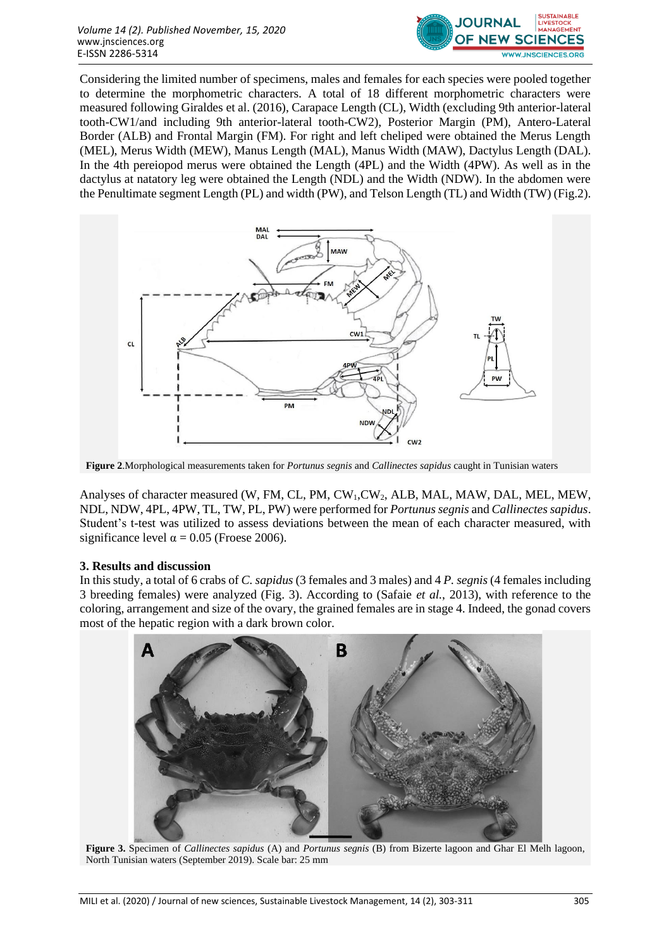

Considering the limited number of specimens, males and females for each species were pooled together to determine the morphometric characters. A total of 18 different morphometric characters were measured following Giraldes et al. (2016), Carapace Length (CL), Width (excluding 9th anterior-lateral tooth-CW1/and including 9th anterior-lateral tooth-CW2), Posterior Margin (PM), Antero-Lateral Border (ALB) and Frontal Margin (FM). For right and left cheliped were obtained the Merus Length (MEL), Merus Width (MEW), Manus Length (MAL), Manus Width (MAW), Dactylus Length (DAL). In the 4th pereiopod merus were obtained the Length (4PL) and the Width (4PW). As well as in the dactylus at natatory leg were obtained the Length (NDL) and the Width (NDW). In the abdomen were the Penultimate segment Length (PL) and width (PW), and Telson Length (TL) and Width (TW) (Fig.2).



**Figure 2**.Morphological measurements taken for *Portunus segnis* and *Callinectes sapidus* caught in Tunisian waters

Analyses of character measured (W, FM, CL, PM, CW<sub>1</sub>, CW<sub>2</sub>, ALB, MAL, MAW, DAL, MEL, MEW, NDL, NDW, 4PL, 4PW, TL, TW, PL, PW) were performed for *Portunus segnis* and *Callinectes sapidus*. Student's t-test was utilized to assess deviations between the mean of each character measured, with significance level  $\alpha = 0.05$  (Froese 2006).

## **3. Results and discussion**

In this study, a total of 6 crabs of *C. sapidus* (3 females and 3 males) and 4 *P. segnis* (4 females including 3 breeding females) were analyzed (Fig. 3). According to (Safaie *et al.*, 2013), with reference to the coloring, arrangement and size of the ovary, the grained females are in stage 4. Indeed, the gonad covers most of the hepatic region with a dark brown color.



**Figure 3.** Specimen of *Callinectes sapidus* (A) and *Portunus segnis* (B) from Bizerte lagoon and Ghar El Melh lagoon, North Tunisian waters (September 2019). Scale bar: 25 mm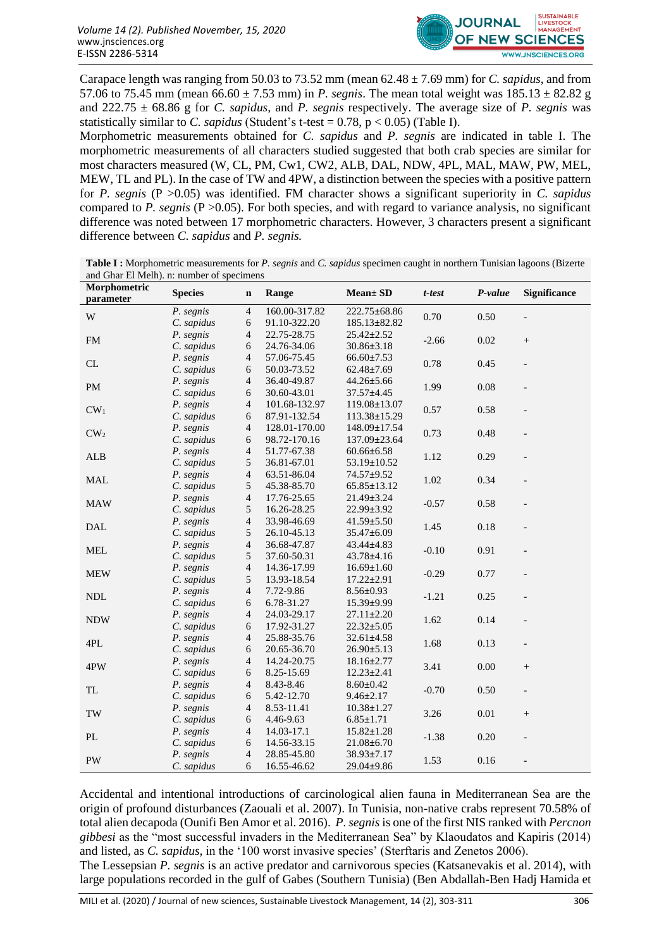

Carapace length was ranging from 50.03 to 73.52 mm (mean 62.48 ± 7.69 mm) for *C. sapidus*, and from 57.06 to 75.45 mm (mean  $66.60 \pm 7.53$  mm) in *P. segnis*. The mean total weight was  $185.13 \pm 82.82$  g and 222.75 ± 68.86 g for *C. sapidus*, and *P. segnis* respectively. The average size of *P. segnis* was statistically similar to *C. sapidus* (Student's t-test =  $0.78$ ,  $p < 0.05$ ) (Table I).

Morphometric measurements obtained for *C. sapidus* and *P. segnis* are indicated in table I. The morphometric measurements of all characters studied suggested that both crab species are similar for most characters measured (W, CL, PM, Cw1, CW2, ALB, DAL, NDW, 4PL, MAL, MAW, PW, MEL, MEW, TL and PL). In the case of TW and 4PW, a distinction between the species with a positive pattern for *P. segnis* (P >0.05) was identified. FM character shows a significant superiority in *C. sapidus* compared to *P. segnis* (P >0.05). For both species, and with regard to variance analysis, no significant difference was noted between 17 morphometric characters. However, 3 characters present a significant difference between *C. sapidus* and *P. segnis.*

**Table I :** Morphometric measurements for *P. segnis* and *C. sapidus* specimen caught in northern Tunisian lagoons (Bizerte and Ghar El Melh). n: number of specimens

| Morphometric<br>parameter   | <b>Species</b> | $\mathbf n$              | Range         | <b>Mean</b> ± SD   | t-test  | P-value  | <b>Significance</b>      |
|-----------------------------|----------------|--------------------------|---------------|--------------------|---------|----------|--------------------------|
|                             | P. segnis      | $\overline{4}$           | 160.00-317.82 | 222.75±68.86       |         |          |                          |
| $\mathbf W$                 | C. sapidus     | 6                        | 91.10-322.20  | $185.13 \pm 82.82$ | 0.70    | 0.50     |                          |
| FM                          | P. segnis      | 4                        | 22.75-28.75   | $25.42 \pm 2.52$   | $-2.66$ | 0.02     | $\! + \!\!\!\!$          |
|                             | C. sapidus     | 6                        | 24.76-34.06   | $30.86 \pm 3.18$   |         |          |                          |
|                             | P. segnis      | $\overline{4}$           | 57.06-75.45   | $66.60 \pm 7.53$   |         |          |                          |
| CL                          | C. sapidus     | 6                        | 50.03-73.52   | $62.48 \pm 7.69$   | 0.78    | 0.45     | $\overline{\phantom{0}}$ |
| PM                          | P. segnis      | $\overline{\mathcal{A}}$ | 36.40-49.87   | 44.26±5.66         | 1.99    | 0.08     |                          |
|                             | C. sapidus     | 6                        | 30.60-43.01   | $37.57 + 4.45$     |         |          |                          |
| $CW_1$                      | P. segnis      | $\overline{4}$           | 101.68-132.97 | 119.08±13.07       | 0.57    | 0.58     |                          |
|                             | C. sapidus     | 6                        | 87.91-132.54  | $113.38 \pm 15.29$ |         |          |                          |
| $CW_2$                      | P. segnis      | $\overline{\mathcal{A}}$ | 128.01-170.00 | $148.09 \pm 17.54$ | 0.73    | 0.48     |                          |
|                             | C. sapidus     | 6                        | 98.72-170.16  | 137.09±23.64       |         |          |                          |
| ${\sf ALB}$                 | P. segnis      | $\overline{\mathbf{4}}$  | 51.77-67.38   | $60.66 \pm 6.58$   | 1.12    | 0.29     |                          |
|                             | C. sapidus     | $\sqrt{5}$               | 36.81-67.01   | 53.19±10.52        |         |          |                          |
| $\operatorname{MAL}$        | P. segnis      | 4                        | 63.51-86.04   | $74.57 + 9.52$     | 1.02    | 0.34     |                          |
|                             | C. sapidus     | 5                        | 45.38-85.70   | $65.85 \pm 13.12$  |         |          |                          |
| <b>MAW</b>                  | P. segnis      | $\overline{4}$           | 17.76-25.65   | $21.49 \pm 3.24$   | $-0.57$ | 0.58     |                          |
|                             | C. sapidus     | $\sqrt{5}$               | 16.26-28.25   | $22.99 \pm 3.92$   |         |          |                          |
| <b>DAL</b>                  | P. segnis      | $\overline{\mathcal{A}}$ | 33.98-46.69   | $41.59 \pm 5.50$   | 1.45    | 0.18     |                          |
|                             | C. sapidus     | 5                        | 26.10-45.13   | 35.47±6.09         |         |          |                          |
| <b>MEL</b>                  | P. segnis      | $\overline{4}$           | 36.68-47.87   | $43.44 \pm 4.83$   | $-0.10$ | 0.91     |                          |
|                             | C. sapidus     | 5                        | 37.60-50.31   | $43.78 \pm 4.16$   |         |          |                          |
| <b>MEW</b>                  | P. segnis      | $\overline{4}$           | 14.36-17.99   | $16.69 \pm 1.60$   | $-0.29$ | 0.77     | $\overline{a}$           |
|                             | C. sapidus     | 5                        | 13.93-18.54   | $17.22 \pm 2.91$   |         |          |                          |
| $\ensuremath{\mathsf{NDL}}$ | P. segnis      | $\overline{4}$           | 7.72-9.86     | $8.56 \pm 0.93$    | $-1.21$ | 0.25     |                          |
|                             | C. sapidus     | 6                        | 6.78-31.27    | 15.39±9.99         |         |          |                          |
| <b>NDW</b>                  | P. segnis      | $\overline{\mathcal{L}}$ | 24.03-29.17   | $27.11 \pm 2.20$   | 1.62    | 0.14     |                          |
|                             | C. sapidus     | $\sqrt{6}$               | 17.92-31.27   | $22.32 \pm 5.05$   |         |          |                          |
| 4PL                         | P. segnis      | $\overline{\mathcal{A}}$ | 25.88-35.76   | $32.61 \pm 4.58$   | 1.68    | 0.13     |                          |
|                             | C. sapidus     | 6                        | 20.65-36.70   | $26.90 \pm 5.13$   |         |          |                          |
| 4PW                         | P. segnis      | $\overline{4}$           | 14.24-20.75   | $18.16 \pm 2.77$   | 3.41    | 0.00     | $\! + \!\!\!\!$          |
|                             | C. sapidus     | 6                        | 8.25-15.69    | $12.23 \pm 2.41$   |         |          |                          |
| <b>TL</b>                   | P. segnis      | $\overline{\mathcal{A}}$ | 8.43-8.46     | $8.60 \pm 0.42$    | $-0.70$ | 0.50     | $\overline{\phantom{a}}$ |
|                             | C. sapidus     | 6                        | 5.42-12.70    | $9.46 \pm 2.17$    |         |          |                          |
| $\operatorname{TW}$         | P. segnis      | $\overline{4}$           | 8.53-11.41    | $10.38 \pm 1.27$   | 3.26    | $0.01\,$ | $\boldsymbol{+}$         |
|                             | C. sapidus     | 6                        | 4.46-9.63     | $6.85 \pm 1.71$    |         |          |                          |
| $\mathbf{PL}$               | P. segnis      | $\overline{4}$           | 14.03-17.1    | $15.82 \pm 1.28$   | $-1.38$ | 0.20     |                          |
|                             | C. sapidus     | 6                        | 14.56-33.15   | $21.08 \pm 6.70$   |         |          |                          |
| PW                          | P. segnis      | $\overline{4}$           | 28.85-45.80   | 38.93±7.17         | 1.53    | 0.16     | $\overline{a}$           |
|                             | C. sapidus     | 6                        | 16.55-46.62   | 29.04±9.86         |         |          |                          |

Accidental and intentional introductions of carcinological alien fauna in Mediterranean Sea are the origin of profound disturbances (Zaouali et al. 2007). In Tunisia, non-native crabs represent 70.58% of total alien decapoda (Ounifi Ben Amor et al. 2016). *P. segnis* is one of the first NIS ranked with *Percnon gibbesi* as the "most successful invaders in the Mediterranean Sea" by Klaoudatos and Kapiris (2014) and listed, as *C. sapidus,* in the '100 worst invasive species' (Sterftaris and Zenetos 2006).

The Lessepsian *P. segnis* is an active predator and carnivorous species (Katsanevakis et al. 2014), with large populations recorded in the gulf of Gabes (Southern Tunisia) (Ben Abdallah-Ben Hadj Hamida et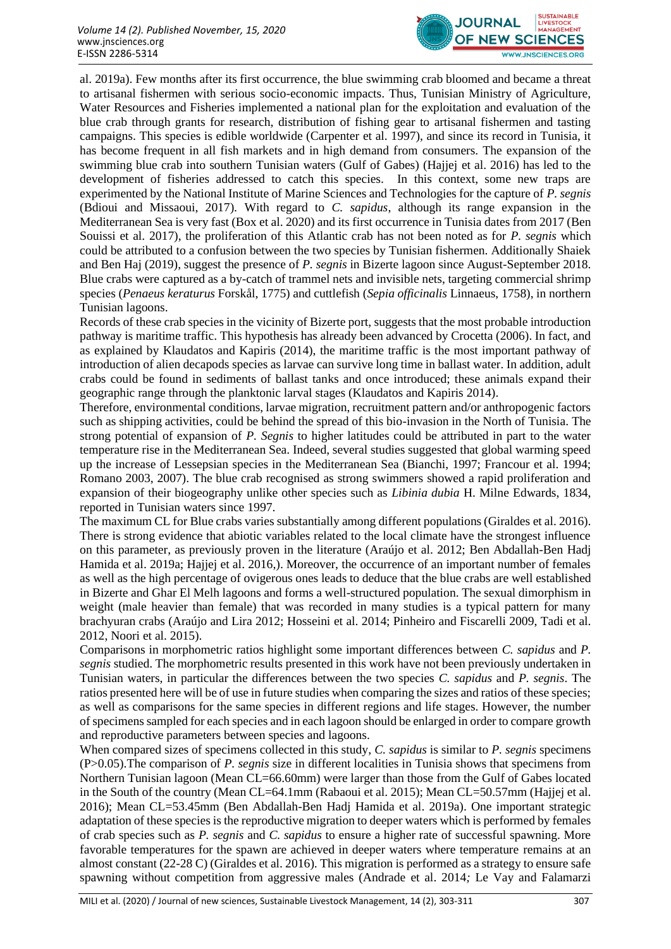

al. 2019a). Few months after its first occurrence, the blue swimming crab bloomed and became a threat to artisanal fishermen with serious socio-economic impacts. Thus, Tunisian Ministry of Agriculture, Water Resources and Fisheries implemented a national plan for the exploitation and evaluation of the blue crab through grants for research, distribution of fishing gear to artisanal fishermen and tasting campaigns. This species is edible worldwide (Carpenter et al. 1997), and since its record in Tunisia, it has become frequent in all fish markets and in high demand from consumers. The expansion of the swimming blue crab into southern Tunisian waters (Gulf of Gabes) (Hajjej et al. 2016) has led to the development of fisheries addressed to catch this species. In this context, some new traps are experimented by the National Institute of Marine Sciences and Technologies for the capture of *P. segnis*  (Bdioui and Missaoui, 2017)*.* With regard to *C. sapidus*, although its range expansion in the Mediterranean Sea is very fast (Box et al. 2020) and its first occurrence in Tunisia dates from 2017 (Ben Souissi et al. 2017), the proliferation of this Atlantic crab has not been noted as for *P. segnis* which could be attributed to a confusion between the two species by Tunisian fishermen. Additionally Shaiek and Ben Haj (2019), suggest the presence of *P. segnis* in Bizerte lagoon since August-September 2018. Blue crabs were captured as a by-catch of trammel nets and invisible nets, targeting commercial shrimp species (*Penaeus keraturus* Forskål, 1775) and cuttlefish (*Sepia officinalis* Linnaeus, 1758), in northern Tunisian lagoons.

Records of these crab species in the vicinity of Bizerte port, suggests that the most probable introduction pathway is maritime traffic. This hypothesis has already been advanced by Crocetta (2006). In fact, and as explained by Klaudatos and Kapiris (2014), the maritime traffic is the most important pathway of introduction of alien decapods species as larvae can survive long time in ballast water. In addition, adult crabs could be found in sediments of ballast tanks and once introduced; these animals expand their geographic range through the planktonic larval stages (Klaudatos and Kapiris 2014).

Therefore, environmental conditions, larvae migration, recruitment pattern and/or anthropogenic factors such as shipping activities, could be behind the spread of this bio-invasion in the North of Tunisia. The strong potential of expansion of *P. Segnis* to higher latitudes could be attributed in part to the water temperature rise in the Mediterranean Sea. Indeed, several studies suggested that global warming speed up the increase of Lessepsian species in the Mediterranean Sea (Bianchi, 1997; Francour et al. 1994; Romano 2003, 2007). The blue crab recognised as strong swimmers showed a rapid proliferation and expansion of their biogeography unlike other species such as *Libinia dubia* H. Milne Edwards, 1834, reported in Tunisian waters since 1997.

The maximum CL for Blue crabs varies substantially among different populations (Giraldes et al. 2016). There is strong evidence that abiotic variables related to the local climate have the strongest influence on this parameter, as previously proven in the literature (Araújo et al. 2012; Ben Abdallah-Ben Hadj Hamida et al. 2019a; Hajjej et al. 2016,). Moreover, the occurrence of an important number of females as well as the high percentage of ovigerous ones leads to deduce that the blue crabs are well established in Bizerte and Ghar El Melh lagoons and forms a well-structured population. The sexual dimorphism in weight (male heavier than female) that was recorded in many studies is a typical pattern for many brachyuran crabs (Araújo and Lira 2012; Hosseini et al. 2014; Pinheiro and Fiscarelli 2009, Tadi et al. 2012, Noori et al. 2015).

Comparisons in morphometric ratios highlight some important differences between *C. sapidus* and *P. segnis* studied. The morphometric results presented in this work have not been previously undertaken in Tunisian waters, in particular the differences between the two species *C. sapidus* and *P. segnis*. The ratios presented here will be of use in future studies when comparing the sizes and ratios of these species; as well as comparisons for the same species in different regions and life stages. However, the number of specimens sampled for each species and in each lagoon should be enlarged in order to compare growth and reproductive parameters between species and lagoons.

When compared sizes of specimens collected in this study, *C. sapidus* is similar to *P. segnis* specimens (P>0.05).The comparison of *P. segnis* size in different localities in Tunisia shows that specimens from Northern Tunisian lagoon (Mean CL=66.60mm) were larger than those from the Gulf of Gabes located in the South of the country (Mean CL=64.1mm (Rabaoui et al. 2015); Mean CL=50.57mm (Hajjej et al. 2016); Mean CL=53.45mm (Ben Abdallah-Ben Hadj Hamida et al. 2019a). One important strategic adaptation of these species is the reproductive migration to deeper waters which is performed by females of crab species such as *P. segnis* and *C. sapidus* to ensure a higher rate of successful spawning. More favorable temperatures for the spawn are achieved in deeper waters where temperature remains at an almost constant (22-28 C) (Giraldes et al. 2016). This migration is performed as a strategy to ensure safe spawning without competition from aggressive males (Andrade et al. 2014*;* Le Vay and Falamarzi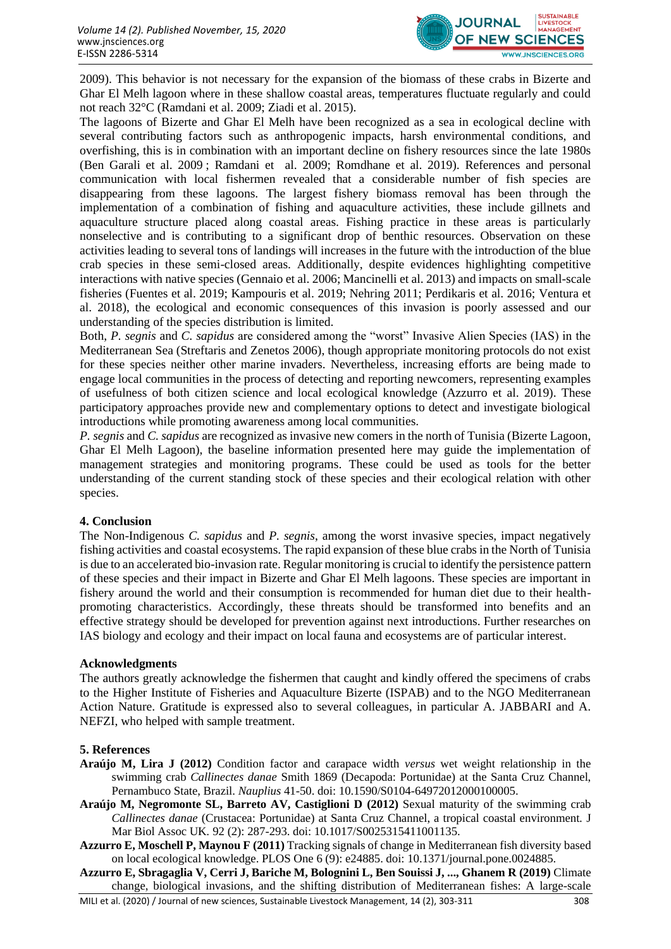

2009). This behavior is not necessary for the expansion of the biomass of these crabs in Bizerte and Ghar El Melh lagoon where in these shallow coastal areas, temperatures fluctuate regularly and could not reach 32°C (Ramdani et al. 2009; Ziadi et al. 2015).

The lagoons of Bizerte and Ghar El Melh have been recognized as a sea in ecological decline with several contributing factors such as anthropogenic impacts, harsh environmental conditions, and overfishing, this is in combination with an important decline on fishery resources since the late 1980s (Ben Garali et al. 2009 ; Ramdani et al. 2009; Romdhane et al. 2019). References and personal communication with local fishermen revealed that a considerable number of fish species are disappearing from these lagoons. The largest fishery biomass removal has been through the implementation of a combination of fishing and aquaculture activities, these include gillnets and aquaculture structure placed along coastal areas. Fishing practice in these areas is particularly nonselective and is contributing to a significant drop of benthic resources. Observation on these activities leading to several tons of landings will increases in the future with the introduction of the blue crab species in these semi-closed areas. Additionally, despite evidences highlighting competitive interactions with native species (Gennaio et al. 2006; Mancinelli et al. 2013) and impacts on small-scale fisheries (Fuentes et al. 2019; Kampouris et al. 2019; Nehring 2011; Perdikaris et al. 2016; Ventura et al. 2018), the ecological and economic consequences of this invasion is poorly assessed and our understanding of the species distribution is limited.

Both, *P. segnis* and *C. sapidus* are considered among the "worst" Invasive Alien Species (IAS) in the Mediterranean Sea (Streftaris and Zenetos 2006), though appropriate monitoring protocols do not exist for these species neither other marine invaders. Nevertheless, increasing efforts are being made to engage local communities in the process of detecting and reporting newcomers, representing examples of usefulness of both citizen science and local ecological knowledge (Azzurro et al. 2019). These participatory approaches provide new and complementary options to detect and investigate biological introductions while promoting awareness among local communities.

*P. segnis* and *C. sapidus* are recognized as invasive new comers in the north of Tunisia (Bizerte Lagoon, Ghar El Melh Lagoon), the baseline information presented here may guide the implementation of management strategies and monitoring programs. These could be used as tools for the better understanding of the current standing stock of these species and their ecological relation with other species.

### **4. Conclusion**

The Non-Indigenous *C. sapidus* and *P. segnis*, among the worst invasive species, impact negatively fishing activities and coastal ecosystems. The rapid expansion of these blue crabs in the North of Tunisia is due to an accelerated bio-invasion rate. Regular monitoring is crucial to identify the persistence pattern of these species and their impact in Bizerte and Ghar El Melh lagoons. These species are important in fishery around the world and their consumption is recommended for human diet due to their healthpromoting characteristics. Accordingly, these threats should be transformed into benefits and an effective strategy should be developed for prevention against next introductions. Further researches on IAS biology and ecology and their impact on local fauna and ecosystems are of particular interest.

### **Acknowledgments**

The authors greatly acknowledge the fishermen that caught and kindly offered the specimens of crabs to the Higher Institute of Fisheries and Aquaculture Bizerte (ISPAB) and to the NGO Mediterranean Action Nature. Gratitude is expressed also to several colleagues, in particular A. JABBARI and A. NEFZI, who helped with sample treatment.

### **5. References**

- **Araújo M, Lira J (2012)** Condition factor and carapace width *versus* wet weight relationship in the swimming crab *Callinectes danae* Smith 1869 (Decapoda: Portunidae) at the Santa Cruz Channel, Pernambuco State, Brazil. *Nauplius* 41-50. doi: 10.1590/S0104-64972012000100005.
- **Araújo M, Negromonte SL, Barreto AV, Castiglioni D (2012)** Sexual maturity of the swimming crab *Callinectes danae* (Crustacea: Portunidae) at Santa Cruz Channel, a tropical coastal environment*.* J Mar Biol Assoc UK*.* 92 (2): 287-293. doi: 10.1017/S0025315411001135.

**Azzurro E, Moschell P, Maynou F (2011)** Tracking signals of change in Mediterranean fish diversity based on local ecological knowledge. PLOS One 6 (9): e24885. doi: 10.1371/journal.pone.0024885.

**Azzurro E, Sbragaglia V, Cerri J, Bariche M, Bolognini L, Ben Souissi J, ..., Ghanem R (2019)** Climate change, biological invasions, and the shifting distribution of Mediterranean fishes: A large-scale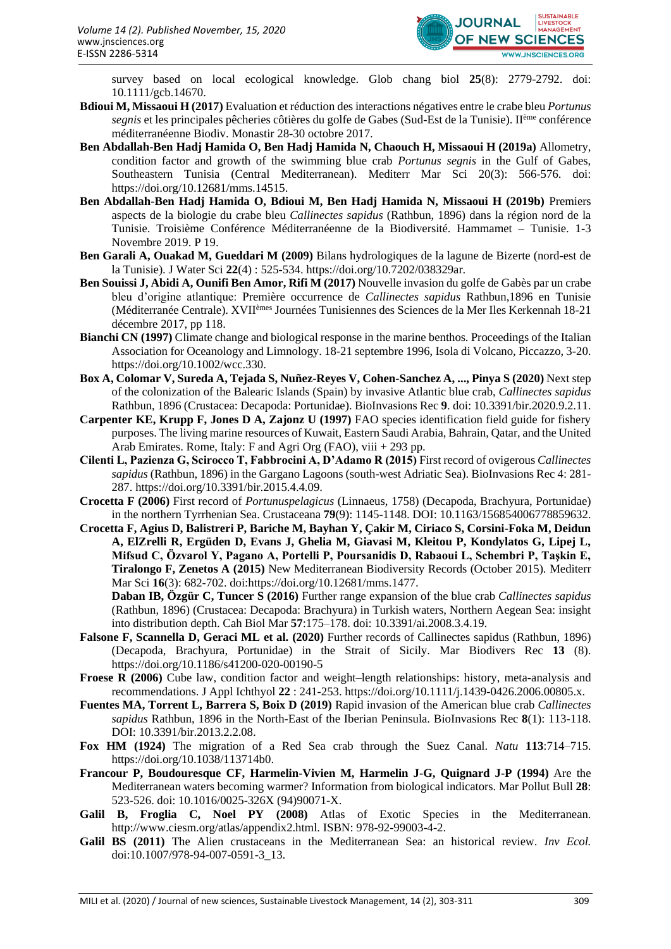

survey based on local ecological knowledge. Glob chang biol **25**(8): 2779-2792. doi: 10.1111/gcb.14670.

- **Bdioui M, Missaoui H (2017)** Evaluation et réduction des interactions négatives entre le crabe bleu *Portunus segnis* et les principales pêcheries côtières du golfe de Gabes (Sud-Est de la Tunisie). IIème conférence méditerranéenne Biodiv. Monastir 28-30 octobre 2017.
- **Ben Abdallah-Ben Hadj Hamida O, Ben Hadj Hamida N, Chaouch H, Missaoui H (2019a)** Allometry, condition factor and growth of the swimming blue crab *Portunus segnis* in the Gulf of Gabes, Southeastern Tunisia (Central Mediterranean). Mediterr Mar Sci 20(3): 566-576. doi: [https://doi.org/10.12681/mms.14515.](https://doi.org/10.12681/mms.14515)
- **Ben Abdallah-Ben Hadj Hamida O, Bdioui M, Ben Hadj Hamida N, Missaoui H (2019b)** Premiers aspects de la biologie du crabe bleu *Callinectes sapidus* (Rathbun, 1896) dans la région nord de la Tunisie. Troisième Conférence Méditerranéenne de la Biodiversité. Hammamet – Tunisie. 1-3 Novembre 2019. P 19.
- **Ben Garali A, Ouakad M, Gueddari M (2009)** Bilans hydrologiques de la lagune de Bizerte (nord-est de la Tunisie). J Water Sci **22**(4) : 525-534. [https://doi.org/10.7202/038329ar.](https://doi.org/10.7202/038329ar)
- **Ben Souissi J, Abidi A, Ounifi Ben Amor, Rifi M (2017)** Nouvelle invasion du golfe de Gabès par un crabe bleu d'origine atlantique: Première occurrence de *Callinectes sapidus* Rathbun,1896 en Tunisie (Méditerranée Centrale). XVIIèmes Journées Tunisiennes des Sciences de la Mer Iles Kerkennah 18-21 décembre 2017, pp 118.
- **Bianchi CN (1997)** Climate change and biological response in the marine benthos. Proceedings of the Italian Association for Oceanology and Limnology. 18-21 septembre 1996, Isola di Volcano, Piccazzo, 3-20. https://doi.org/10.1002/wcc.330.
- **Box A, Colomar V, Sureda A, Tejada S, Nuñez-Reyes V, Cohen-Sanchez A, ..., Pinya S (2020)** Next step of the colonization of the Balearic Islands (Spain) by invasive Atlantic blue crab, *Callinectes sapidus* Rathbun, 1896 (Crustacea: Decapoda: Portunidae). BioInvasions Rec **9**. doi: 10.3391/bir.2020.9.2.11.
- **Carpenter KE, Krupp F, Jones D A, Zajonz U (1997)** FAO species identification field guide for fishery purposes. The living marine resources of Kuwait, Eastern Saudi Arabia, Bahrain, Qatar, and the United Arab Emirates. Rome, Italy: F and Agri Org (FAO), viii + 293 pp.
- **Cilenti L, Pazienza G, Scirocco T, Fabbrocini A, D'Adamo R (2015)** First record of ovigerous *Callinectes sapidus* (Rathbun, 1896) in the Gargano Lagoons (south-west Adriatic Sea). BioInvasions Rec 4: 281- 287. https://doi.org/10.3391/bir.2015.4.4.09.
- **Crocetta F (2006)** First record of *Portunuspelagicus* (Linnaeus, 1758) (Decapoda, Brachyura, Portunidae) in the northern Tyrrhenian Sea. Crustaceana **79**(9): 1145-1148. DOI: 10.1163/156854006778859632.
- **Crocetta F, Agius D, Balistreri P, Bariche M, Bayhan Y, Çakir M, Ciriaco S, Corsini-Foka M, Deidun A, ElZrelli R, Ergüden D, Evans J, Ghelia M, Giavasi M, Kleitou P, Kondylatos G, Lipej L, Mifsud C, Özvarol Y, Pagano A, Portelli P, Poursanidis D, Rabaoui L, Schembri P, Taşkin E, Tiralongo F, Zenetos A (2015)** New Mediterranean Biodiversity Records (October 2015). Mediterr Mar Sci **16**(3): 682-702. doi:https://doi.org/10.12681/mms.1477.
	- **Daban IB, Özgür C, Tuncer S (2016)** Further range expansion of the blue crab *Callinectes sapidus*  (Rathbun, 1896) (Crustacea: Decapoda: Brachyura) in Turkish waters, Northern Aegean Sea: insight into distribution depth. Cah Biol Mar **57**:175–178. doi: 10.3391/ai.2008.3.4.19.
- **Falsone F, Scannella D, Geraci ML et al. (2020)** Further records of Callinectes sapidus (Rathbun, 1896) (Decapoda, Brachyura, Portunidae) in the Strait of Sicily. Mar Biodivers Rec **13** (8). https://doi.org/10.1186/s41200-020-00190-5
- **Froese R (2006)** Cube law, condition factor and weight–length relationships: history, meta-analysis and recommendations. J Appl Ichthyol **22** : 241-253. https://doi.org/10.1111/j.1439-0426.2006.00805.x.
- **Fuentes MA, Torrent L, Barrera S, Boix D (2019)** Rapid invasion of the American blue crab *Callinectes sapidus* Rathbun, 1896 in the North-East of the Iberian Peninsula. BioInvasions Rec **8**(1): 113-118. DOI: 10.3391/bir.2013.2.2.08.
- **Fox HM (1924)** The migration of a Red Sea crab through the Suez Canal. *Natu* **113**:714–715. https://doi.org/10.1038/113714b0.
- **Francour P, Boudouresque CF, Harmelin-Vivien M, Harmelin J-G, Quignard J-P (1994)** Are the Mediterranean waters becoming warmer? Information from biological indicators. Mar Pollut Bull **28**: 523-526. doi: 10.1016/0025-326X (94)90071-X.
- **Galil B, Froglia C, Noel PY (2008)** Atlas of Exotic Species in the Mediterranean. [http://www.ciesm.org/atlas/appendix2.html.](http://www.ciesm.org/atlas/appendix2.html) ISBN: 978-92-99003-4-2.
- **Galil BS (2011)** The Alien crustaceans in the Mediterranean Sea: an historical review. *Inv Ecol.* doi:10.1007/978-94-007-0591-3\_13.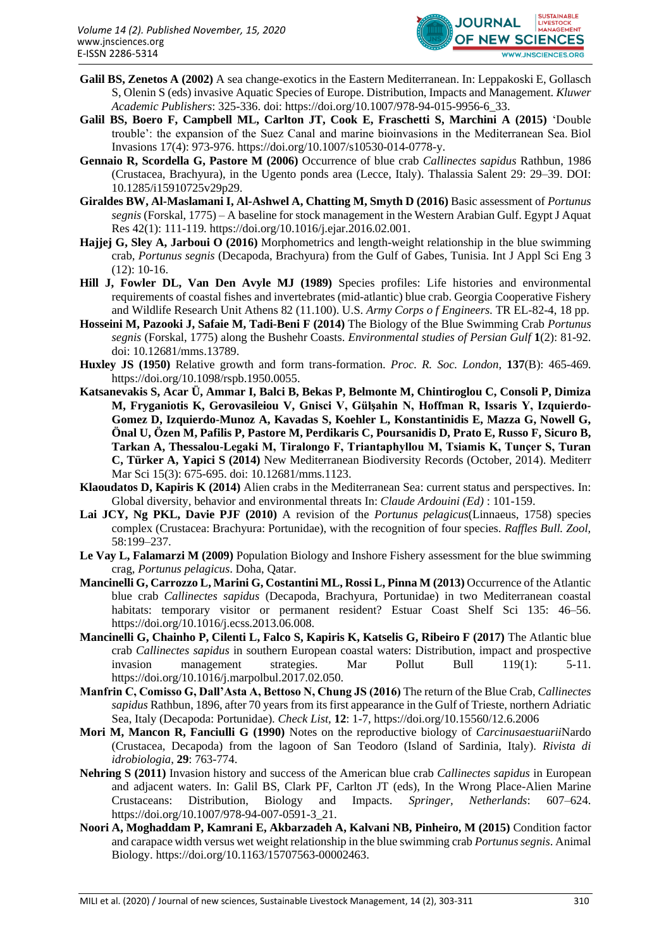

- **Galil BS, Zenetos A (2002)** A sea change-exotics in the Eastern Mediterranean. In: Leppakoski E, Gollasch S, Olenin S (eds) invasive Aquatic Species of Europe. Distribution, Impacts and Management. *Kluwer Academic Publishers*: 325-336. doi: https://doi.org/10.1007/978-94-015-9956-6\_33.
- **Galil BS, Boero F, Campbell ML, Carlton JT, Cook E, Fraschetti S, Marchini A (2015)** 'Double trouble': the expansion of the Suez Canal and marine bioinvasions in the Mediterranean Sea. Biol Invasions 17(4): 973-976. https://doi.org/10.1007/s10530-014-0778-y.
- **Gennaio R, Scordella G, Pastore M (2006)** Occurrence of blue crab *Callinectes sapidus* Rathbun, 1986 (Crustacea, Brachyura), in the Ugento ponds area (Lecce, Italy). Thalassia Salent 29: 29–39. DOI: 10.1285/i15910725v29p29.
- **Giraldes BW, Al-Maslamani I, Al-Ashwel A, Chatting M, Smyth D (2016)** Basic assessment of *Portunus segnis* (Forskal, 1775) – A baseline for stock management in the Western Arabian Gulf. Egypt J Aquat Res 42(1): 111-119. https://doi.org/10.1016/j.ejar.2016.02.001.
- **Hajjej G, Sley A, Jarboui O (2016)** Morphometrics and length-weight relationship in the blue swimming crab, *Portunus segnis* (Decapoda, Brachyura) from the Gulf of Gabes, Tunisia. Int J Appl Sci Eng 3 (12): 10-16.
- **Hill J, Fowler DL, Van Den Avyle MJ (1989)** Species profiles: Life histories and environmental requirements of coastal fishes and invertebrates (mid-atlantic) blue crab. Georgia Cooperative Fishery and Wildlife Research Unit Athens 82 (11.100). U.S. *Army Corps o f Engineers.* TR EL-82-4, 18 pp.
- **Hosseini M, Pazooki J, Safaie M, Tadi-Beni F (2014)** The Biology of the Blue Swimming Crab *Portunus segnis* (Forskal, 1775) along the Bushehr Coasts. *Environmental studies of Persian Gulf* **1**(2): 81-92. doi: 10.12681/mms.13789.
- **Huxley JS (1950)** Relative growth and form trans-formation. *Proc. R. Soc. London*, **137**(B): 465-469. https://doi.org/10.1098/rspb.1950.0055.
- **Katsanevakis S, Acar Ü, Ammar I, Balci B, Bekas P, Belmonte M, Chintiroglou C, Consoli P, Dimiza M, Fryganiotis K, Gerovasileiou V, Gnisci V, Gülşahin N, Hoffman R, Issaris Y, Izquierdo-Gomez D, Izquierdo-Munoz A, Kavadas S, Koehler L, Konstantinidis E, Mazza G, Nowell G, Önal U, Özen M, Pafilis P, Pastore M, Perdikaris C, Poursanidis D, Prato E, Russo F, Sicuro B, Tarkan A, Thessalou-Legaki M, Tiralongo F, Triantaphyllou M, Tsiamis K, Tunҫer S, Turan C, Türker A, Yapici S (2014)** New Mediterranean Biodiversity Records (October, 2014). Mediterr Mar Sci 15(3): 675-695. doi: 10.12681/mms.1123.
- **Klaoudatos D, Kapiris K (2014)** Alien crabs in the Mediterranean Sea: current status and perspectives. In: Global diversity, behavior and environmental threats In: *Claude Ardouini (Ed)* : 101-159.
- **Lai JCY, Ng PKL, Davie PJF (2010)** A revision of the *Portunus pelagicus*(Linnaeus, 1758) species complex (Crustacea: Brachyura: Portunidae), with the recognition of four species. *Raffles Bull. Zool,* 58:199–237.
- **Le Vay L, Falamarzi M (2009)** Population Biology and Inshore Fishery assessment for the blue swimming crag, *Portunus pelagicus*. Doha, Qatar.
- **Mancinelli G, Carrozzo L, Marini G, Costantini ML, Rossi L, Pinna M (2013)** Occurrence of the Atlantic blue crab *Callinectes sapidus* (Decapoda, Brachyura, Portunidae) in two Mediterranean coastal habitats: temporary visitor or permanent resident? Estuar Coast Shelf Sci 135: 46–56. https://doi.org/10.1016/j.ecss.2013.06.008.
- **Mancinelli G, Chainho P, Cilenti L, Falco S, Kapiris K, Katselis G, Ribeiro F (2017)** The Atlantic blue crab *Callinectes sapidus* in southern European coastal waters: Distribution, impact and prospective invasion management strategies. Mar Pollut Bull 119(1): 5-11. https://doi.org/10.1016/j.marpolbul.2017.02.050.
- **Manfrin C, Comisso G, Dall'Asta A, Bettoso N, Chung JS (2016)** The return of the Blue Crab, *Callinectes sapidus* Rathbun, 1896, after 70 years from its first appearance in the Gulf of Trieste, northern Adriatic Sea, Italy (Decapoda: Portunidae). *Check List,* **12**: 1-7, https://doi.org/10.15560/12.6.2006
- **Mori M, Mancon R, Fanciulli G (1990)** Notes on the reproductive biology of *Carcinusaestuarii*Nardo (Crustacea, Decapoda) from the lagoon of San Teodoro (Island of Sardinia, Italy). *Rivista di idrobiologia*, **29**: 763-774.
- **Nehring S (2011)** Invasion history and success of the American blue crab *Callinectes sapidus* in European and adjacent waters. In: Galil BS, Clark PF, Carlton JT (eds), In the Wrong Place-Alien Marine Crustaceans: Distribution, Biology and Impacts. *Springer, Netherlands*: 607–624. https://doi.org/10.1007/978-94-007-0591-3\_21.
- **Noori A, Moghaddam P, Kamrani E, Akbarzadeh A, Kalvani NB, Pinheiro, M (2015)** Condition factor and carapace width versus wet weight relationship in the blue swimming crab *Portunus segnis*. Animal Biology. https://doi.org/10.1163/15707563-00002463.